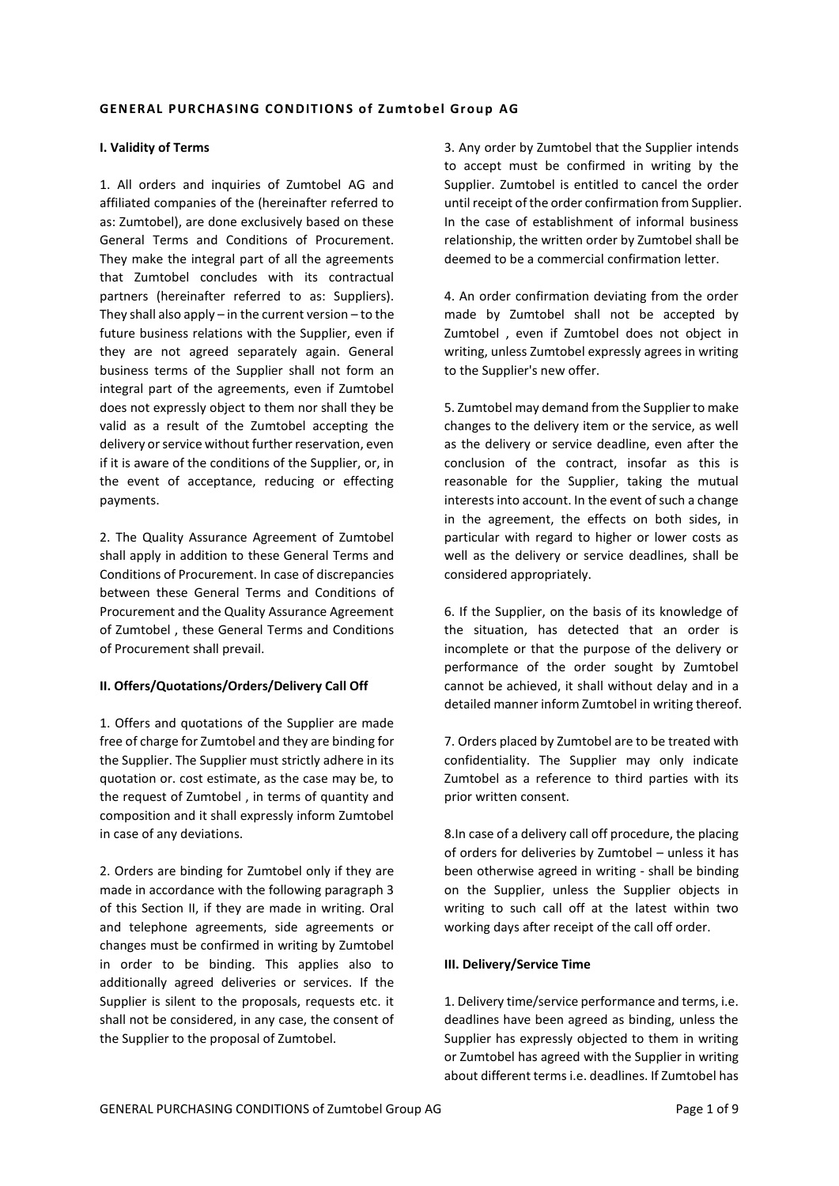#### **GENERAL PURCHASING CONDITIONS of Zumtobel Group AG**

#### **I. Validity of Terms**

1. All orders and inquiries of Zumtobel AG and affiliated companies of the (hereinafter referred to as: Zumtobel), are done exclusively based on these General Terms and Conditions of Procurement. They make the integral part of all the agreements that Zumtobel concludes with its contractual partners (hereinafter referred to as: Suppliers). They shall also apply – in the current version – to the future business relations with the Supplier, even if they are not agreed separately again. General business terms of the Supplier shall not form an integral part of the agreements, even if Zumtobel does not expressly object to them nor shall they be valid as a result of the Zumtobel accepting the delivery or service without further reservation, even if it is aware of the conditions of the Supplier, or, in the event of acceptance, reducing or effecting payments.

2. The Quality Assurance Agreement of Zumtobel shall apply in addition to these General Terms and Conditions of Procurement. In case of discrepancies between these General Terms and Conditions of Procurement and the Quality Assurance Agreement of Zumtobel , these General Terms and Conditions of Procurement shall prevail.

### **II. Offers/Quotations/Orders/Delivery Call Off**

1. Offers and quotations of the Supplier are made free of charge for Zumtobel and they are binding for the Supplier. The Supplier must strictly adhere in its quotation or. cost estimate, as the case may be, to the request of Zumtobel , in terms of quantity and composition and it shall expressly inform Zumtobel in case of any deviations.

2. Orders are binding for Zumtobel only if they are made in accordance with the following paragraph 3 of this Section II, if they are made in writing. Oral and telephone agreements, side agreements or changes must be confirmed in writing by Zumtobel in order to be binding. This applies also to additionally agreed deliveries or services. If the Supplier is silent to the proposals, requests etc. it shall not be considered, in any case, the consent of the Supplier to the proposal of Zumtobel.

3. Any order by Zumtobel that the Supplier intends to accept must be confirmed in writing by the Supplier. Zumtobel is entitled to cancel the order until receipt of the order confirmation from Supplier. In the case of establishment of informal business relationship, the written order by Zumtobel shall be deemed to be a commercial confirmation letter.

4. An order confirmation deviating from the order made by Zumtobel shall not be accepted by Zumtobel , even if Zumtobel does not object in writing, unless Zumtobel expressly agrees in writing to the Supplier's new offer.

5. Zumtobel may demand from the Supplier to make changes to the delivery item or the service, as well as the delivery or service deadline, even after the conclusion of the contract, insofar as this is reasonable for the Supplier, taking the mutual interests into account. In the event of such a change in the agreement, the effects on both sides, in particular with regard to higher or lower costs as well as the delivery or service deadlines, shall be considered appropriately.

6. If the Supplier, on the basis of its knowledge of the situation, has detected that an order is incomplete or that the purpose of the delivery or performance of the order sought by Zumtobel cannot be achieved, it shall without delay and in a detailed manner inform Zumtobel in writing thereof.

7. Orders placed by Zumtobel are to be treated with confidentiality. The Supplier may only indicate Zumtobel as a reference to third parties with its prior written consent.

8.In case of a delivery call off procedure, the placing of orders for deliveries by Zumtobel – unless it has been otherwise agreed in writing - shall be binding on the Supplier, unless the Supplier objects in writing to such call off at the latest within two working days after receipt of the call off order.

### **III. Delivery/Service Time**

1. Delivery time/service performance and terms, i.e. deadlines have been agreed as binding, unless the Supplier has expressly objected to them in writing or Zumtobel has agreed with the Supplier in writing about different terms i.e. deadlines. If Zumtobel has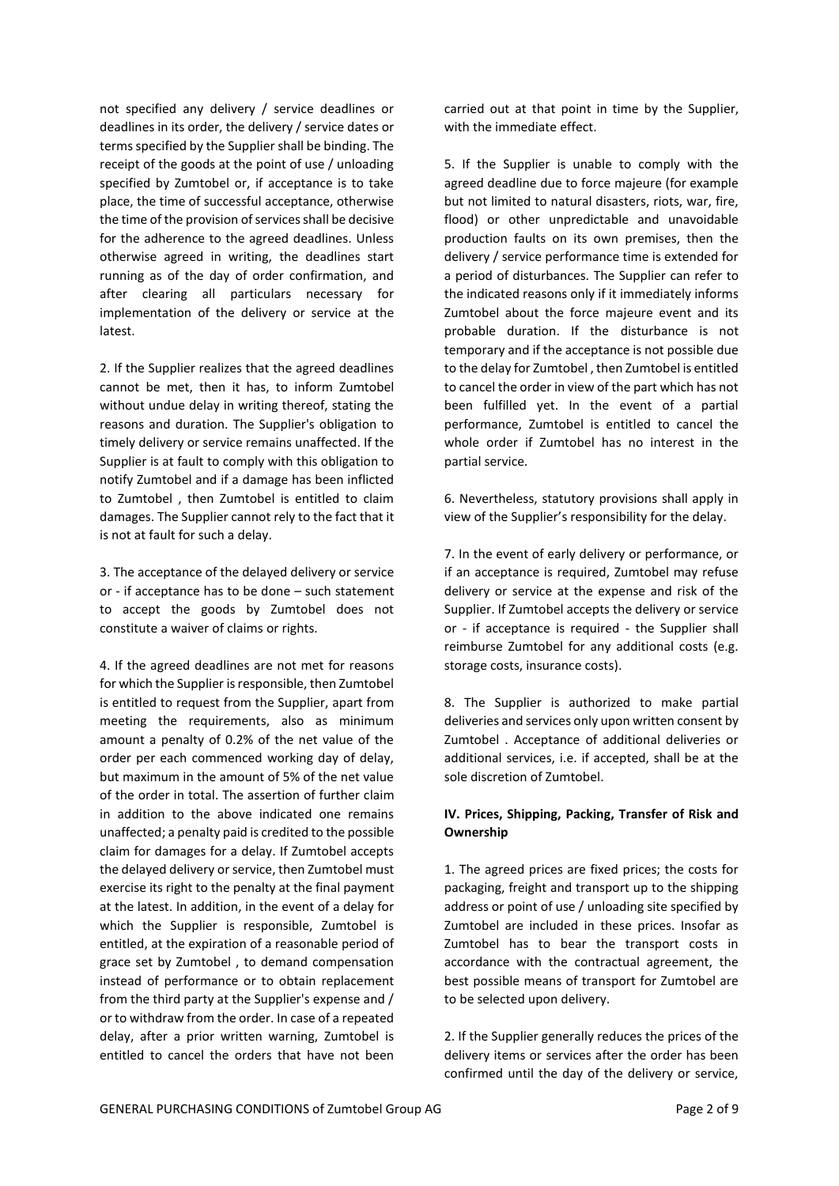not specified any delivery / service deadlines or deadlines in its order, the delivery / service dates or terms specified by the Supplier shall be binding. The receipt of the goods at the point of use / unloading specified by Zumtobel or, if acceptance is to take place, the time of successful acceptance, otherwise the time of the provision of services shall be decisive for the adherence to the agreed deadlines. Unless otherwise agreed in writing, the deadlines start running as of the day of order confirmation, and after clearing all particulars necessary for implementation of the delivery or service at the latest.

2. If the Supplier realizes that the agreed deadlines cannot be met, then it has, to inform Zumtobel without undue delay in writing thereof, stating the reasons and duration. The Supplier's obligation to timely delivery or service remains unaffected. If the Supplier is at fault to comply with this obligation to notify Zumtobel and if a damage has been inflicted to Zumtobel , then Zumtobel is entitled to claim damages. The Supplier cannot rely to the fact that it is not at fault for such a delay.

3. The acceptance of the delayed delivery or service or - if acceptance has to be done – such statement to accept the goods by Zumtobel does not constitute a waiver of claims or rights.

4. If the agreed deadlines are not met for reasons for which the Supplier is responsible, then Zumtobel is entitled to request from the Supplier, apart from meeting the requirements, also as minimum amount a penalty of 0.2% of the net value of the order per each commenced working day of delay, but maximum in the amount of 5% of the net value of the order in total. The assertion of further claim in addition to the above indicated one remains unaffected; a penalty paid is credited to the possible claim for damages for a delay. If Zumtobel accepts the delayed delivery or service, then Zumtobel must exercise its right to the penalty at the final payment at the latest. In addition, in the event of a delay for which the Supplier is responsible, Zumtobel is entitled, at the expiration of a reasonable period of grace set by Zumtobel , to demand compensation instead of performance or to obtain replacement from the third party at the Supplier's expense and / or to withdraw from the order. In case of a repeated delay, after a prior written warning, Zumtobel is entitled to cancel the orders that have not been

carried out at that point in time by the Supplier, with the immediate effect.

5. If the Supplier is unable to comply with the agreed deadline due to force majeure (for example but not limited to natural disasters, riots, war, fire, flood) or other unpredictable and unavoidable production faults on its own premises, then the delivery / service performance time is extended for a period of disturbances. The Supplier can refer to the indicated reasons only if it immediately informs Zumtobel about the force majeure event and its probable duration. If the disturbance is not temporary and if the acceptance is not possible due to the delay for Zumtobel , then Zumtobel is entitled to cancel the order in view of the part which has not been fulfilled yet. In the event of a partial performance, Zumtobel is entitled to cancel the whole order if Zumtobel has no interest in the partial service.

6. Nevertheless, statutory provisions shall apply in view of the Supplier's responsibility for the delay.

7. In the event of early delivery or performance, or if an acceptance is required, Zumtobel may refuse delivery or service at the expense and risk of the Supplier. If Zumtobel accepts the delivery or service or - if acceptance is required - the Supplier shall reimburse Zumtobel for any additional costs (e.g. storage costs, insurance costs).

8. The Supplier is authorized to make partial deliveries and services only upon written consent by Zumtobel . Acceptance of additional deliveries or additional services, i.e. if accepted, shall be at the sole discretion of Zumtobel.

## **IV. Prices, Shipping, Packing, Transfer of Risk and Ownership**

1. The agreed prices are fixed prices; the costs for packaging, freight and transport up to the shipping address or point of use / unloading site specified by Zumtobel are included in these prices. Insofar as Zumtobel has to bear the transport costs in accordance with the contractual agreement, the best possible means of transport for Zumtobel are to be selected upon delivery.

2. If the Supplier generally reduces the prices of the delivery items or services after the order has been confirmed until the day of the delivery or service,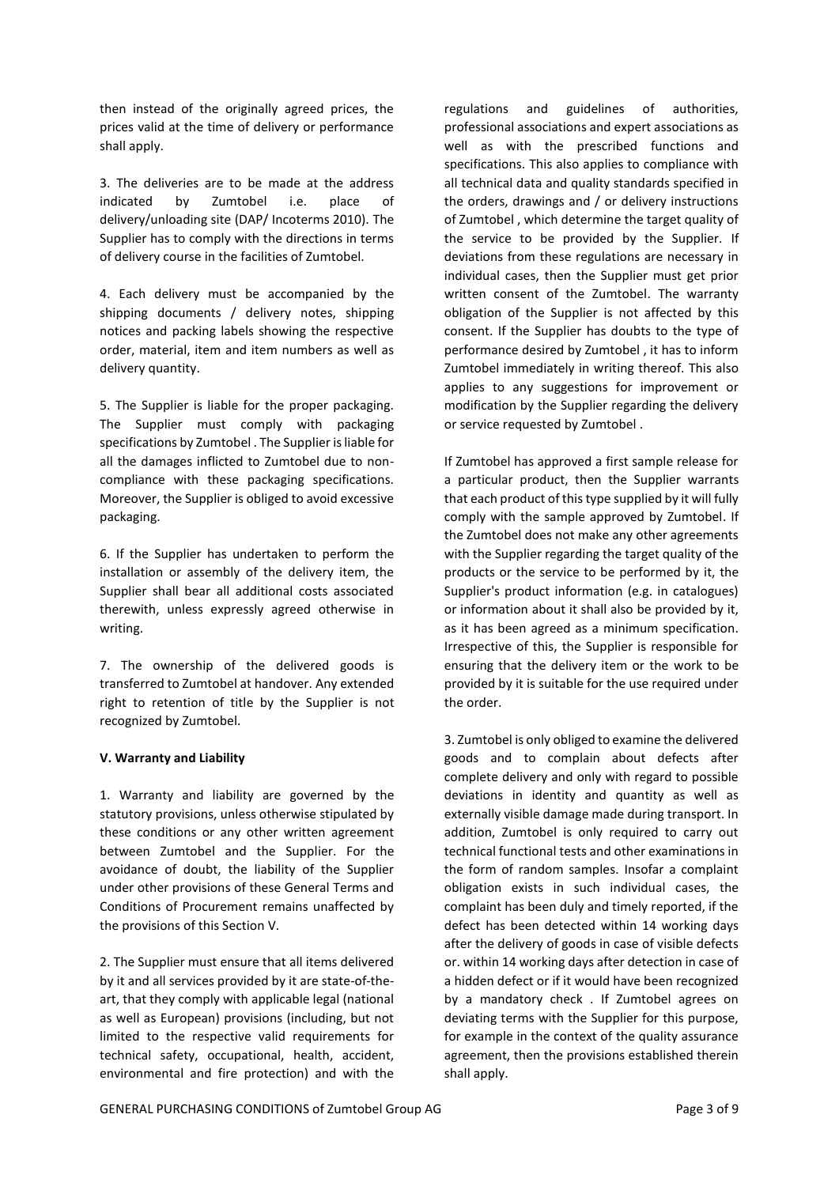then instead of the originally agreed prices, the prices valid at the time of delivery or performance shall apply.

3. The deliveries are to be made at the address indicated by Zumtobel i.e. place of delivery/unloading site (DAP/ Incoterms 2010). The Supplier has to comply with the directions in terms of delivery course in the facilities of Zumtobel.

4. Each delivery must be accompanied by the shipping documents / delivery notes, shipping notices and packing labels showing the respective order, material, item and item numbers as well as delivery quantity.

5. The Supplier is liable for the proper packaging. The Supplier must comply with packaging specifications by Zumtobel . The Supplier is liable for all the damages inflicted to Zumtobel due to noncompliance with these packaging specifications. Moreover, the Supplier is obliged to avoid excessive packaging.

6. If the Supplier has undertaken to perform the installation or assembly of the delivery item, the Supplier shall bear all additional costs associated therewith, unless expressly agreed otherwise in writing.

7. The ownership of the delivered goods is transferred to Zumtobel at handover. Any extended right to retention of title by the Supplier is not recognized by Zumtobel.

## **V. Warranty and Liability**

1. Warranty and liability are governed by the statutory provisions, unless otherwise stipulated by these conditions or any other written agreement between Zumtobel and the Supplier. For the avoidance of doubt, the liability of the Supplier under other provisions of these General Terms and Conditions of Procurement remains unaffected by the provisions of this Section V.

2. The Supplier must ensure that all items delivered by it and all services provided by it are state-of-theart, that they comply with applicable legal (national as well as European) provisions (including, but not limited to the respective valid requirements for technical safety, occupational, health, accident, environmental and fire protection) and with the

regulations and guidelines of authorities, professional associations and expert associations as well as with the prescribed functions and specifications. This also applies to compliance with all technical data and quality standards specified in the orders, drawings and / or delivery instructions of Zumtobel , which determine the target quality of the service to be provided by the Supplier. If deviations from these regulations are necessary in individual cases, then the Supplier must get prior written consent of the Zumtobel. The warranty obligation of the Supplier is not affected by this consent. If the Supplier has doubts to the type of performance desired by Zumtobel , it has to inform Zumtobel immediately in writing thereof. This also applies to any suggestions for improvement or modification by the Supplier regarding the delivery or service requested by Zumtobel .

If Zumtobel has approved a first sample release for a particular product, then the Supplier warrants that each product of this type supplied by it will fully comply with the sample approved by Zumtobel. If the Zumtobel does not make any other agreements with the Supplier regarding the target quality of the products or the service to be performed by it, the Supplier's product information (e.g. in catalogues) or information about it shall also be provided by it, as it has been agreed as a minimum specification. Irrespective of this, the Supplier is responsible for ensuring that the delivery item or the work to be provided by it is suitable for the use required under the order.

3. Zumtobel is only obliged to examine the delivered goods and to complain about defects after complete delivery and only with regard to possible deviations in identity and quantity as well as externally visible damage made during transport. In addition, Zumtobel is only required to carry out technical functional tests and other examinations in the form of random samples. Insofar a complaint obligation exists in such individual cases, the complaint has been duly and timely reported, if the defect has been detected within 14 working days after the delivery of goods in case of visible defects or. within 14 working days after detection in case of a hidden defect or if it would have been recognized by a mandatory check . If Zumtobel agrees on deviating terms with the Supplier for this purpose, for example in the context of the quality assurance agreement, then the provisions established therein shall apply.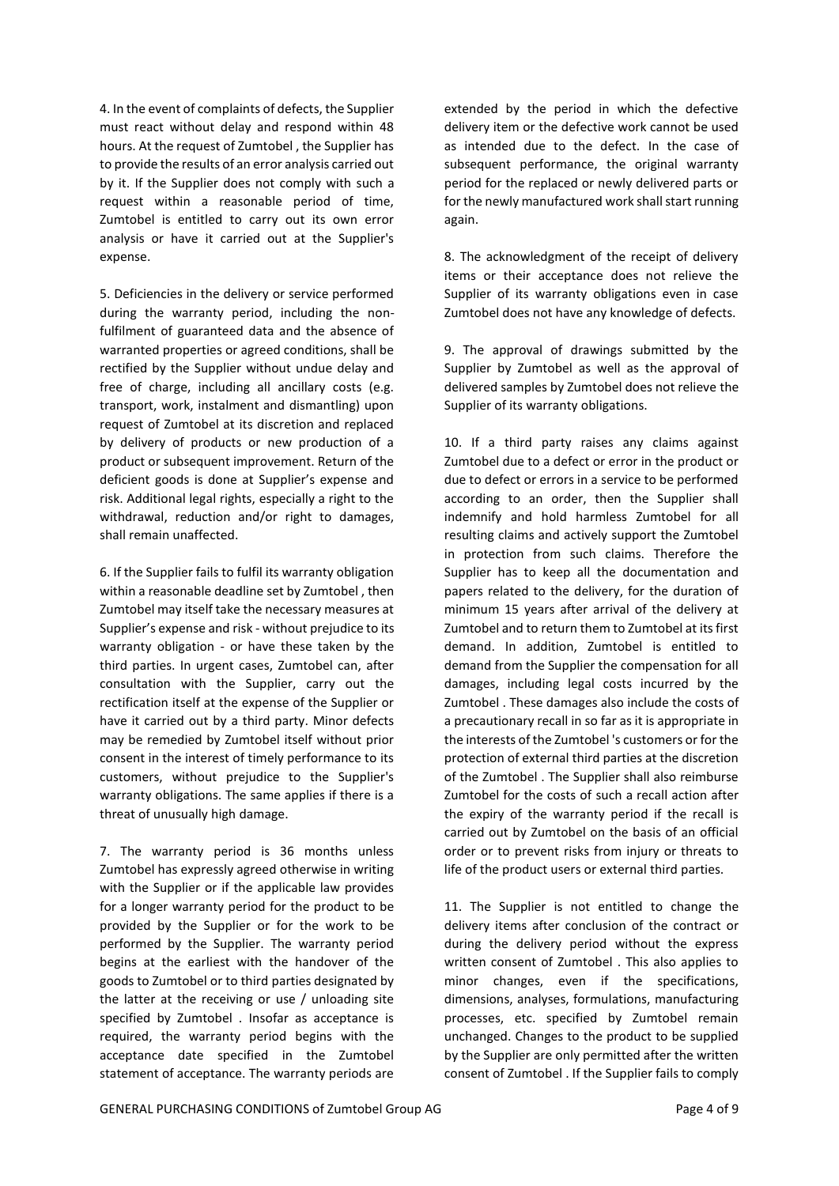4. In the event of complaints of defects, the Supplier must react without delay and respond within 48 hours. At the request of Zumtobel , the Supplier has to provide the results of an error analysis carried out by it. If the Supplier does not comply with such a request within a reasonable period of time, Zumtobel is entitled to carry out its own error analysis or have it carried out at the Supplier's expense.

5. Deficiencies in the delivery or service performed during the warranty period, including the nonfulfilment of guaranteed data and the absence of warranted properties or agreed conditions, shall be rectified by the Supplier without undue delay and free of charge, including all ancillary costs (e.g. transport, work, instalment and dismantling) upon request of Zumtobel at its discretion and replaced by delivery of products or new production of a product or subsequent improvement. Return of the deficient goods is done at Supplier's expense and risk. Additional legal rights, especially a right to the withdrawal, reduction and/or right to damages, shall remain unaffected.

6. If the Supplier fails to fulfil its warranty obligation within a reasonable deadline set by Zumtobel , then Zumtobel may itself take the necessary measures at Supplier's expense and risk - without prejudice to its warranty obligation - or have these taken by the third parties. In urgent cases, Zumtobel can, after consultation with the Supplier, carry out the rectification itself at the expense of the Supplier or have it carried out by a third party. Minor defects may be remedied by Zumtobel itself without prior consent in the interest of timely performance to its customers, without prejudice to the Supplier's warranty obligations. The same applies if there is a threat of unusually high damage.

7. The warranty period is 36 months unless Zumtobel has expressly agreed otherwise in writing with the Supplier or if the applicable law provides for a longer warranty period for the product to be provided by the Supplier or for the work to be performed by the Supplier. The warranty period begins at the earliest with the handover of the goods to Zumtobel or to third parties designated by the latter at the receiving or use / unloading site specified by Zumtobel . Insofar as acceptance is required, the warranty period begins with the acceptance date specified in the Zumtobel statement of acceptance. The warranty periods are

extended by the period in which the defective delivery item or the defective work cannot be used as intended due to the defect. In the case of subsequent performance, the original warranty period for the replaced or newly delivered parts or for the newly manufactured work shall start running again.

8. The acknowledgment of the receipt of delivery items or their acceptance does not relieve the Supplier of its warranty obligations even in case Zumtobel does not have any knowledge of defects.

9. The approval of drawings submitted by the Supplier by Zumtobel as well as the approval of delivered samples by Zumtobel does not relieve the Supplier of its warranty obligations.

10. If a third party raises any claims against Zumtobel due to a defect or error in the product or due to defect or errors in a service to be performed according to an order, then the Supplier shall indemnify and hold harmless Zumtobel for all resulting claims and actively support the Zumtobel in protection from such claims. Therefore the Supplier has to keep all the documentation and papers related to the delivery, for the duration of minimum 15 years after arrival of the delivery at Zumtobel and to return them to Zumtobel at its first demand. In addition, Zumtobel is entitled to demand from the Supplier the compensation for all damages, including legal costs incurred by the Zumtobel . These damages also include the costs of a precautionary recall in so far as it is appropriate in the interests of the Zumtobel 's customers or for the protection of external third parties at the discretion of the Zumtobel . The Supplier shall also reimburse Zumtobel for the costs of such a recall action after the expiry of the warranty period if the recall is carried out by Zumtobel on the basis of an official order or to prevent risks from injury or threats to life of the product users or external third parties.

11. The Supplier is not entitled to change the delivery items after conclusion of the contract or during the delivery period without the express written consent of Zumtobel . This also applies to minor changes, even if the specifications, dimensions, analyses, formulations, manufacturing processes, etc. specified by Zumtobel remain unchanged. Changes to the product to be supplied by the Supplier are only permitted after the written consent of Zumtobel . If the Supplier fails to comply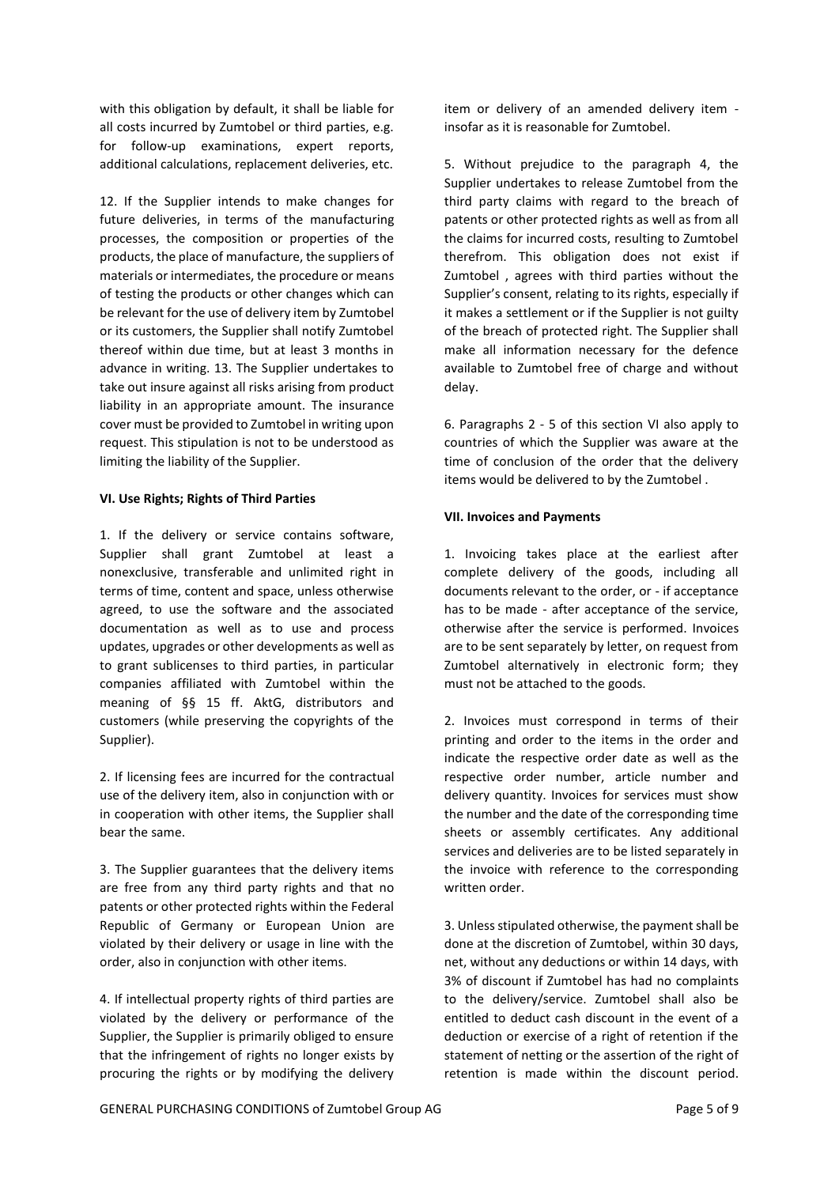with this obligation by default, it shall be liable for all costs incurred by Zumtobel or third parties, e.g. for follow-up examinations, expert reports, additional calculations, replacement deliveries, etc.

12. If the Supplier intends to make changes for future deliveries, in terms of the manufacturing processes, the composition or properties of the products, the place of manufacture, the suppliers of materials or intermediates, the procedure or means of testing the products or other changes which can be relevant for the use of delivery item by Zumtobel or its customers, the Supplier shall notify Zumtobel thereof within due time, but at least 3 months in advance in writing. 13. The Supplier undertakes to take out insure against all risks arising from product liability in an appropriate amount. The insurance cover must be provided to Zumtobel in writing upon request. This stipulation is not to be understood as limiting the liability of the Supplier.

### **VI. Use Rights; Rights of Third Parties**

1. If the delivery or service contains software, Supplier shall grant Zumtobel at least a nonexclusive, transferable and unlimited right in terms of time, content and space, unless otherwise agreed, to use the software and the associated documentation as well as to use and process updates, upgrades or other developments as well as to grant sublicenses to third parties, in particular companies affiliated with Zumtobel within the meaning of §§ 15 ff. AktG, distributors and customers (while preserving the copyrights of the Supplier).

2. If licensing fees are incurred for the contractual use of the delivery item, also in conjunction with or in cooperation with other items, the Supplier shall bear the same.

3. The Supplier guarantees that the delivery items are free from any third party rights and that no patents or other protected rights within the Federal Republic of Germany or European Union are violated by their delivery or usage in line with the order, also in conjunction with other items.

4. If intellectual property rights of third parties are violated by the delivery or performance of the Supplier, the Supplier is primarily obliged to ensure that the infringement of rights no longer exists by procuring the rights or by modifying the delivery

item or delivery of an amended delivery item insofar as it is reasonable for Zumtobel.

5. Without prejudice to the paragraph 4, the Supplier undertakes to release Zumtobel from the third party claims with regard to the breach of patents or other protected rights as well as from all the claims for incurred costs, resulting to Zumtobel therefrom. This obligation does not exist if Zumtobel , agrees with third parties without the Supplier's consent, relating to its rights, especially if it makes a settlement or if the Supplier is not guilty of the breach of protected right. The Supplier shall make all information necessary for the defence available to Zumtobel free of charge and without delay.

6. Paragraphs 2 - 5 of this section VI also apply to countries of which the Supplier was aware at the time of conclusion of the order that the delivery items would be delivered to by the Zumtobel .

### **VII. Invoices and Payments**

1. Invoicing takes place at the earliest after complete delivery of the goods, including all documents relevant to the order, or - if acceptance has to be made - after acceptance of the service, otherwise after the service is performed. Invoices are to be sent separately by letter, on request from Zumtobel alternatively in electronic form; they must not be attached to the goods.

2. Invoices must correspond in terms of their printing and order to the items in the order and indicate the respective order date as well as the respective order number, article number and delivery quantity. Invoices for services must show the number and the date of the corresponding time sheets or assembly certificates. Any additional services and deliveries are to be listed separately in the invoice with reference to the corresponding written order.

3. Unless stipulated otherwise, the payment shall be done at the discretion of Zumtobel, within 30 days, net, without any deductions or within 14 days, with 3% of discount if Zumtobel has had no complaints to the delivery/service. Zumtobel shall also be entitled to deduct cash discount in the event of a deduction or exercise of a right of retention if the statement of netting or the assertion of the right of retention is made within the discount period.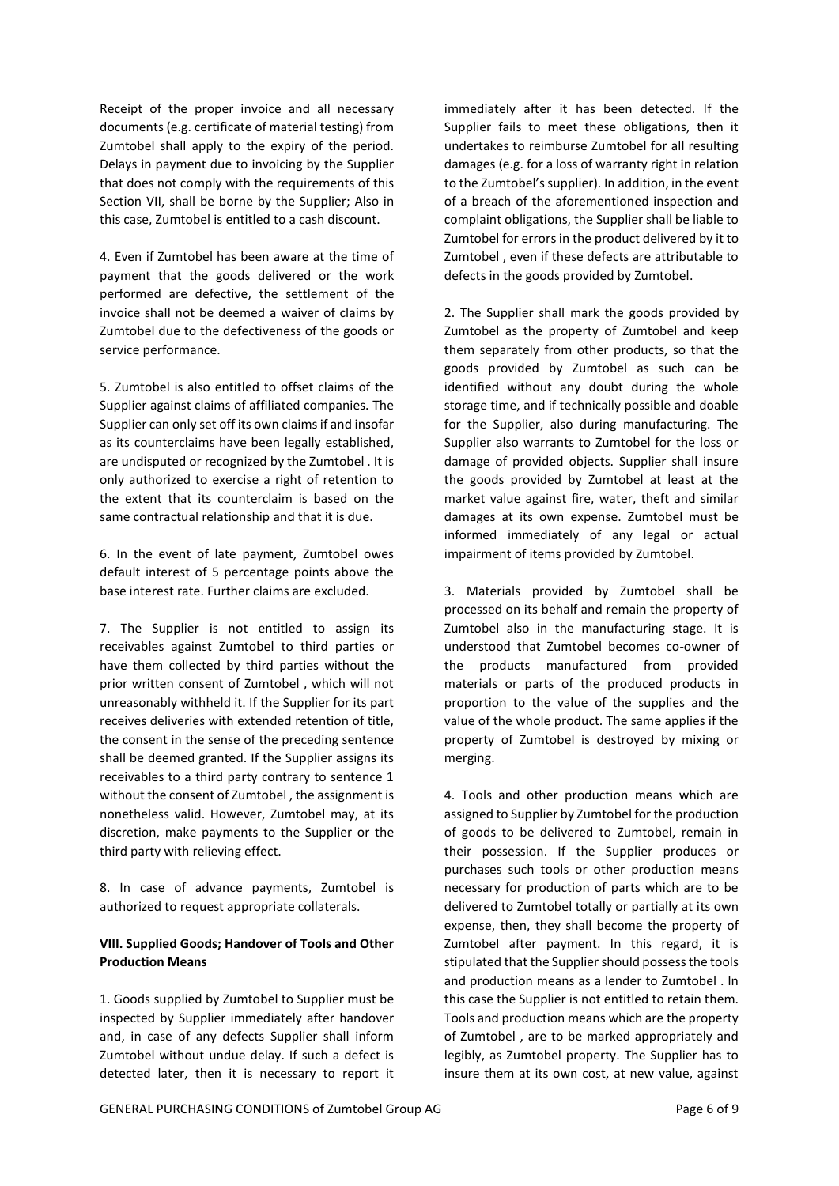Receipt of the proper invoice and all necessary documents (e.g. certificate of material testing) from Zumtobel shall apply to the expiry of the period. Delays in payment due to invoicing by the Supplier that does not comply with the requirements of this Section VII, shall be borne by the Supplier; Also in this case, Zumtobel is entitled to a cash discount.

4. Even if Zumtobel has been aware at the time of payment that the goods delivered or the work performed are defective, the settlement of the invoice shall not be deemed a waiver of claims by Zumtobel due to the defectiveness of the goods or service performance.

5. Zumtobel is also entitled to offset claims of the Supplier against claims of affiliated companies. The Supplier can only set off its own claims if and insofar as its counterclaims have been legally established, are undisputed or recognized by the Zumtobel . It is only authorized to exercise a right of retention to the extent that its counterclaim is based on the same contractual relationship and that it is due.

6. In the event of late payment, Zumtobel owes default interest of 5 percentage points above the base interest rate. Further claims are excluded.

7. The Supplier is not entitled to assign its receivables against Zumtobel to third parties or have them collected by third parties without the prior written consent of Zumtobel , which will not unreasonably withheld it. If the Supplier for its part receives deliveries with extended retention of title, the consent in the sense of the preceding sentence shall be deemed granted. If the Supplier assigns its receivables to a third party contrary to sentence 1 without the consent of Zumtobel , the assignment is nonetheless valid. However, Zumtobel may, at its discretion, make payments to the Supplier or the third party with relieving effect.

8. In case of advance payments, Zumtobel is authorized to request appropriate collaterals.

## **VIII. Supplied Goods; Handover of Tools and Other Production Means**

1. Goods supplied by Zumtobel to Supplier must be inspected by Supplier immediately after handover and, in case of any defects Supplier shall inform Zumtobel without undue delay. If such a defect is detected later, then it is necessary to report it immediately after it has been detected. If the Supplier fails to meet these obligations, then it undertakes to reimburse Zumtobel for all resulting damages (e.g. for a loss of warranty right in relation to the Zumtobel's supplier). In addition, in the event of a breach of the aforementioned inspection and complaint obligations, the Supplier shall be liable to Zumtobel for errors in the product delivered by it to Zumtobel , even if these defects are attributable to defects in the goods provided by Zumtobel.

2. The Supplier shall mark the goods provided by Zumtobel as the property of Zumtobel and keep them separately from other products, so that the goods provided by Zumtobel as such can be identified without any doubt during the whole storage time, and if technically possible and doable for the Supplier, also during manufacturing. The Supplier also warrants to Zumtobel for the loss or damage of provided objects. Supplier shall insure the goods provided by Zumtobel at least at the market value against fire, water, theft and similar damages at its own expense. Zumtobel must be informed immediately of any legal or actual impairment of items provided by Zumtobel.

3. Materials provided by Zumtobel shall be processed on its behalf and remain the property of Zumtobel also in the manufacturing stage. It is understood that Zumtobel becomes co-owner of the products manufactured from provided materials or parts of the produced products in proportion to the value of the supplies and the value of the whole product. The same applies if the property of Zumtobel is destroyed by mixing or merging.

4. Tools and other production means which are assigned to Supplier by Zumtobel for the production of goods to be delivered to Zumtobel, remain in their possession. If the Supplier produces or purchases such tools or other production means necessary for production of parts which are to be delivered to Zumtobel totally or partially at its own expense, then, they shall become the property of Zumtobel after payment. In this regard, it is stipulated that the Supplier should possess the tools and production means as a lender to Zumtobel . In this case the Supplier is not entitled to retain them. Tools and production means which are the property of Zumtobel , are to be marked appropriately and legibly, as Zumtobel property. The Supplier has to insure them at its own cost, at new value, against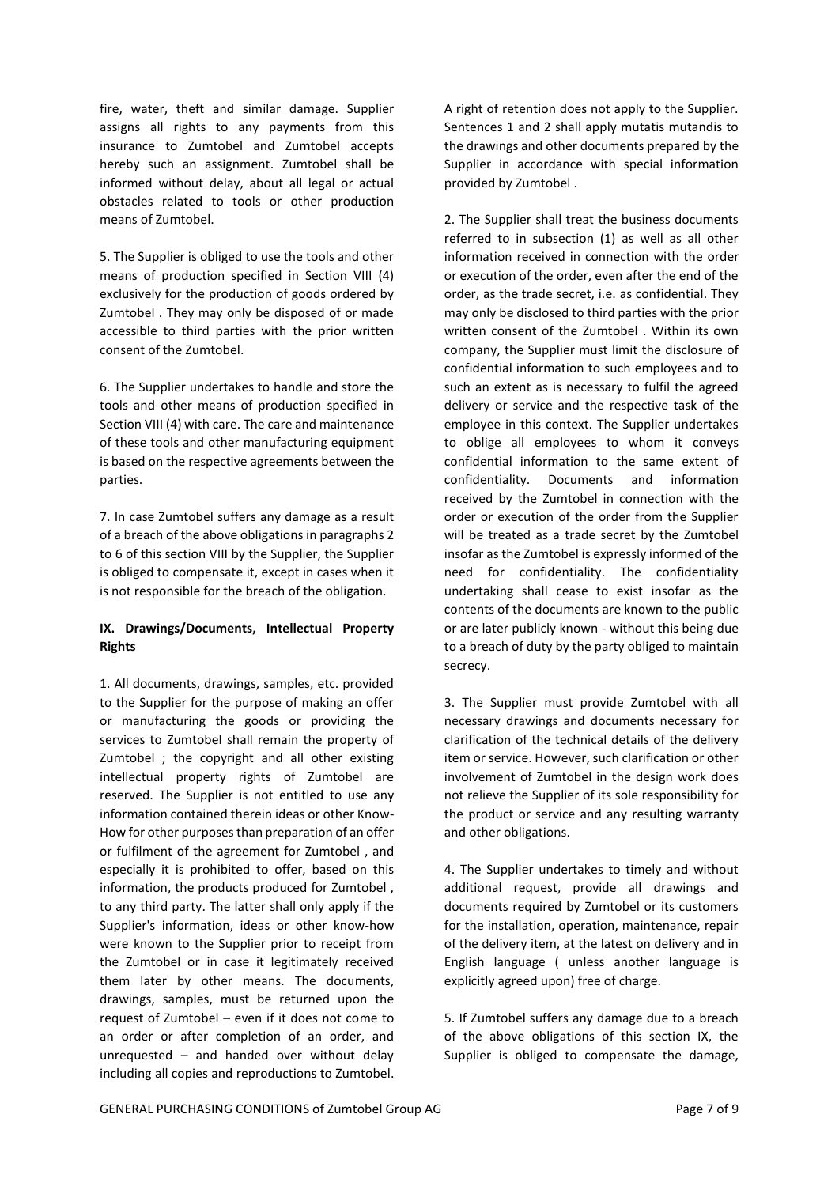fire, water, theft and similar damage. Supplier assigns all rights to any payments from this insurance to Zumtobel and Zumtobel accepts hereby such an assignment. Zumtobel shall be informed without delay, about all legal or actual obstacles related to tools or other production means of Zumtobel.

5. The Supplier is obliged to use the tools and other means of production specified in Section VIII (4) exclusively for the production of goods ordered by Zumtobel . They may only be disposed of or made accessible to third parties with the prior written consent of the Zumtobel.

6. The Supplier undertakes to handle and store the tools and other means of production specified in Section VIII (4) with care. The care and maintenance of these tools and other manufacturing equipment is based on the respective agreements between the parties.

7. In case Zumtobel suffers any damage as a result of a breach of the above obligations in paragraphs 2 to 6 of this section VIII by the Supplier, the Supplier is obliged to compensate it, except in cases when it is not responsible for the breach of the obligation.

## **IX. Drawings/Documents, Intellectual Property Rights**

1. All documents, drawings, samples, etc. provided to the Supplier for the purpose of making an offer or manufacturing the goods or providing the services to Zumtobel shall remain the property of Zumtobel ; the copyright and all other existing intellectual property rights of Zumtobel are reserved. The Supplier is not entitled to use any information contained therein ideas or other Know-How for other purposes than preparation of an offer or fulfilment of the agreement for Zumtobel , and especially it is prohibited to offer, based on this information, the products produced for Zumtobel , to any third party. The latter shall only apply if the Supplier's information, ideas or other know-how were known to the Supplier prior to receipt from the Zumtobel or in case it legitimately received them later by other means. The documents, drawings, samples, must be returned upon the request of Zumtobel – even if it does not come to an order or after completion of an order, and unrequested – and handed over without delay including all copies and reproductions to Zumtobel.

A right of retention does not apply to the Supplier. Sentences 1 and 2 shall apply mutatis mutandis to the drawings and other documents prepared by the Supplier in accordance with special information provided by Zumtobel .

2. The Supplier shall treat the business documents referred to in subsection (1) as well as all other information received in connection with the order or execution of the order, even after the end of the order, as the trade secret, i.e. as confidential. They may only be disclosed to third parties with the prior written consent of the Zumtobel . Within its own company, the Supplier must limit the disclosure of confidential information to such employees and to such an extent as is necessary to fulfil the agreed delivery or service and the respective task of the employee in this context. The Supplier undertakes to oblige all employees to whom it conveys confidential information to the same extent of confidentiality. Documents and information received by the Zumtobel in connection with the order or execution of the order from the Supplier will be treated as a trade secret by the Zumtobel insofar as the Zumtobel is expressly informed of the need for confidentiality. The confidentiality undertaking shall cease to exist insofar as the contents of the documents are known to the public or are later publicly known - without this being due to a breach of duty by the party obliged to maintain secrecy.

3. The Supplier must provide Zumtobel with all necessary drawings and documents necessary for clarification of the technical details of the delivery item or service. However, such clarification or other involvement of Zumtobel in the design work does not relieve the Supplier of its sole responsibility for the product or service and any resulting warranty and other obligations.

4. The Supplier undertakes to timely and without additional request, provide all drawings and documents required by Zumtobel or its customers for the installation, operation, maintenance, repair of the delivery item, at the latest on delivery and in English language ( unless another language is explicitly agreed upon) free of charge.

5. If Zumtobel suffers any damage due to a breach of the above obligations of this section IX, the Supplier is obliged to compensate the damage,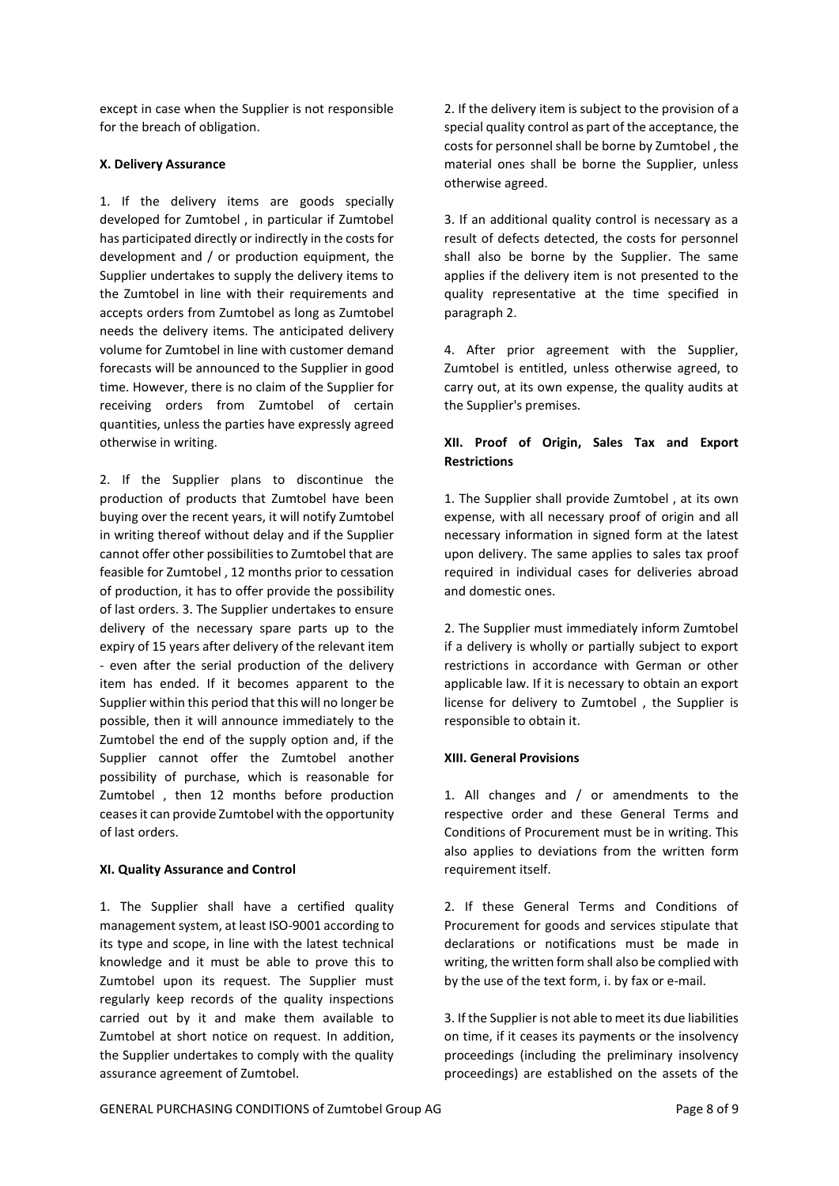except in case when the Supplier is not responsible for the breach of obligation.

### **X. Delivery Assurance**

1. If the delivery items are goods specially developed for Zumtobel , in particular if Zumtobel has participated directly or indirectly in the costs for development and / or production equipment, the Supplier undertakes to supply the delivery items to the Zumtobel in line with their requirements and accepts orders from Zumtobel as long as Zumtobel needs the delivery items. The anticipated delivery volume for Zumtobel in line with customer demand forecasts will be announced to the Supplier in good time. However, there is no claim of the Supplier for receiving orders from Zumtobel of certain quantities, unless the parties have expressly agreed otherwise in writing.

2. If the Supplier plans to discontinue the production of products that Zumtobel have been buying over the recent years, it will notify Zumtobel in writing thereof without delay and if the Supplier cannot offer other possibilities to Zumtobel that are feasible for Zumtobel , 12 months prior to cessation of production, it has to offer provide the possibility of last orders. 3. The Supplier undertakes to ensure delivery of the necessary spare parts up to the expiry of 15 years after delivery of the relevant item - even after the serial production of the delivery item has ended. If it becomes apparent to the Supplier within this period that this will no longer be possible, then it will announce immediately to the Zumtobel the end of the supply option and, if the Supplier cannot offer the Zumtobel another possibility of purchase, which is reasonable for Zumtobel , then 12 months before production ceases it can provide Zumtobel with the opportunity of last orders.

### **XI. Quality Assurance and Control**

1. The Supplier shall have a certified quality management system, at least ISO-9001 according to its type and scope, in line with the latest technical knowledge and it must be able to prove this to Zumtobel upon its request. The Supplier must regularly keep records of the quality inspections carried out by it and make them available to Zumtobel at short notice on request. In addition, the Supplier undertakes to comply with the quality assurance agreement of Zumtobel.

2. If the delivery item is subject to the provision of a special quality control as part of the acceptance, the costs for personnel shall be borne by Zumtobel , the material ones shall be borne the Supplier, unless otherwise agreed.

3. If an additional quality control is necessary as a result of defects detected, the costs for personnel shall also be borne by the Supplier. The same applies if the delivery item is not presented to the quality representative at the time specified in paragraph 2.

4. After prior agreement with the Supplier, Zumtobel is entitled, unless otherwise agreed, to carry out, at its own expense, the quality audits at the Supplier's premises.

# **XII. Proof of Origin, Sales Tax and Export Restrictions**

1. The Supplier shall provide Zumtobel , at its own expense, with all necessary proof of origin and all necessary information in signed form at the latest upon delivery. The same applies to sales tax proof required in individual cases for deliveries abroad and domestic ones.

2. The Supplier must immediately inform Zumtobel if a delivery is wholly or partially subject to export restrictions in accordance with German or other applicable law. If it is necessary to obtain an export license for delivery to Zumtobel , the Supplier is responsible to obtain it.

## **XIII. General Provisions**

1. All changes and / or amendments to the respective order and these General Terms and Conditions of Procurement must be in writing. This also applies to deviations from the written form requirement itself.

2. If these General Terms and Conditions of Procurement for goods and services stipulate that declarations or notifications must be made in writing, the written form shall also be complied with by the use of the text form, i. by fax or e-mail.

3. If the Supplier is not able to meet its due liabilities on time, if it ceases its payments or the insolvency proceedings (including the preliminary insolvency proceedings) are established on the assets of the